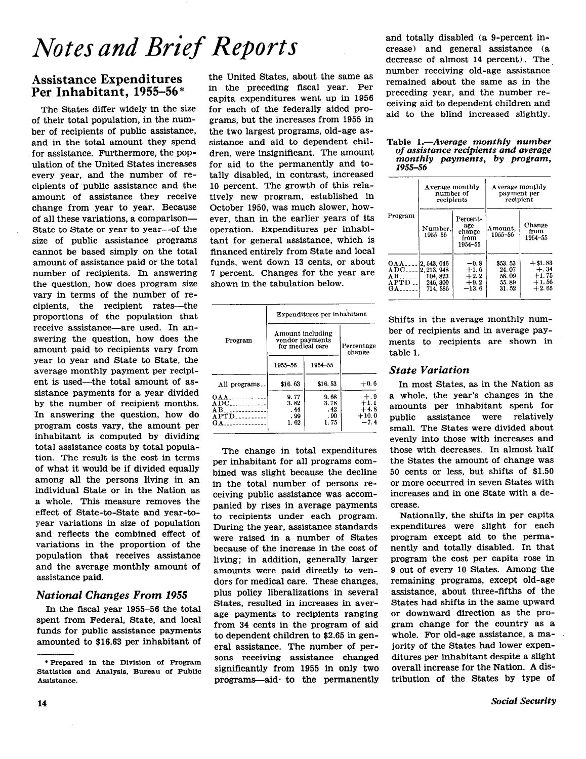# Notes and Brief Reports

## Assistance Expenditures Per Inhabitant, 1955-56 \*

The States differ widely in the size of their total population, in the number of recipients of public assistance, and in the total amount they spend for assistance. Furthermore, the population of the United States increases every year, and the number of recipients of public assistance and the amount of assistance they receive change from year to year. Because of all these variations, a comparison-State to State or year to year-of the size of public assistance programs cannot be based simply on the total amount of assistance paid or the total number of recipients. In answering the question, how does program size vary in terms of the number of recipients, the recipient rates--the proportions of the population that receive assistance—are used. In answering the question, how does the amount paid to recipients vary from year to year and State to State, the average monthly payment per recipient is used-the total amount of assistance payments for a year divided by the number of recipient months. In answering the question, how do program costs vary, the amount per inhabitant is computed by dividing total assistance costs by total population. The result is the cost in terms of what it would be if divided equally among all the persons living in an individual State or in the Nation as a whole. This measure removes the effect of State-to-State and year-toyear variations in size of population and reflects the combined effect of variations in the proportion of the population that receives assistance and. the average monthly amount of assistance paid.

## National Changes From 1955

In the fiscal year 1955-56 the total spent from Federal, State, and local funds for public assistance payments amounted to \$16.63 per inhabitant of

the United States, about the same as in the preceding fiscal year. Per capita expenditures went up in 1956 for each of the federally aided programs, but the increases from 1955 in the two largest programs, old-age assistance and aid to dependent children, were insignificant. The amount for aid to the permanently and totally disabled, in contrast, increased 10 percent. The growth of this relatively new program, established in October 1950, was much slower, however, than in the earlier years of its operation. Expenditures per inhabitant for general assistance, which is financed entirely from State and local funds, went down 13 cents, or about 7 percent. Changes for the year are shown in the tabulation below.

|                                               | Expenditures per inhabitant                             |                      |                            |  |  |  |
|-----------------------------------------------|---------------------------------------------------------|----------------------|----------------------------|--|--|--|
| Program                                       | Amount including<br>vendor payments<br>for medical care | Percentage<br>change |                            |  |  |  |
|                                               | 1955-56                                                 |                      |                            |  |  |  |
| All programs                                  | \$16.63                                                 | \$16.53              | $+0.6$                     |  |  |  |
| $OAA$<br>$ADC$ <sub>-----------</sub><br>$AB$ | 9.77<br>3.82<br>. 44                                    | 9.68<br>3.78<br>.42  | $+, 9$<br>$+1.1$<br>$+4.8$ |  |  |  |
| $APTD$<br>GA                                  | . 99<br>1.62                                            | .90<br>1.75          | $+10.0$<br>$-7.4$          |  |  |  |

The change in total expenditures per inhabitant for all programs combined was slight because the decline in the total number of persons receiving public assistance was accompanied by rises in average payments to recipients under each program. During the year, assistance standards were raised in a number of States because of the increase in the cost of living; in addition, generally larger amounts were paid directly to vendors for medical care. These changes, plus policy liberalizations in several States, resulted in increases in average payments to recipients ranging from 34 cents in the program of aid to dependent children to \$2.65 in general assistance. The number of persons receiving assistance changed significantly from 1955 in only two programs--aid- to the permanently

and totally disabled (a S-percent increase) and general assistance (a decrease of almost 14 percent). The, number receiving old-age assistance remained about the same as in the preceding year, and the number receiving aid to dependent children and aid to the blind increased slightly.

## Table 1.—Average monthly number of assistance recipients and average monthly payments, by program,<br>1955–56

|                                                | Average monthly<br>number of<br>recipients                   |                                                 | Average monthly<br>payment per<br>recipient |                                                      |  |  |
|------------------------------------------------|--------------------------------------------------------------|-------------------------------------------------|---------------------------------------------|------------------------------------------------------|--|--|
| Program                                        | Number,<br>1955-56                                           | Percent-<br>age<br>change<br>from<br>1954-55    | Amount,<br>1955-56                          | Change<br>from<br>1954-55                            |  |  |
| 0AA<br>$ADC$<br>$AB$<br>APTD<br>$G$ A $\ldots$ | 2, 543, 046<br>2.213.948<br>104, 823<br>246, 300<br>714, 585 | $-0.8$<br>$+1.6$<br>$+2.2$<br>$+9.2$<br>$-13.6$ | \$53.53<br>24.07<br>58.09<br>55.89<br>31.52 | $+ $1.83$<br>$+.34$<br>$+1.75$<br>$+1.56$<br>$+2.65$ |  |  |

Shifts in the average monthly number of recipients and in average payments to recipients are shown in table 1.

## State Variation

In most States, as in the Nation as a whole, the year's changes in the amounts per inhabitant spent for public assistance were relatively small. The States were divided about evenly into those with increases and those with decreases. In almost half the States the amount of change was 50 cents or less, but shifts of \$1.50 or more occurred in seven States with increases and in one State with a decrease.

Nationally, the shifts in per capita expenditures were slight for each program except aid to the permanently and totally disabled. In that program the cost per capita rose in 9 out of every 10 States. Among the remaining programs, except old-age assistance, about three-fifths of the States had shifts in the same upward or downward direction as the program change for the country as a whole. For old-age assistance, a majority of the States had lower expenditures per inhabitant despite a slight overall increase for the Nation. A distribution of the States by type of

<sup>\*</sup>Prepared in the Division of Program Statistics and Analysis. Bureau of Public Assistance.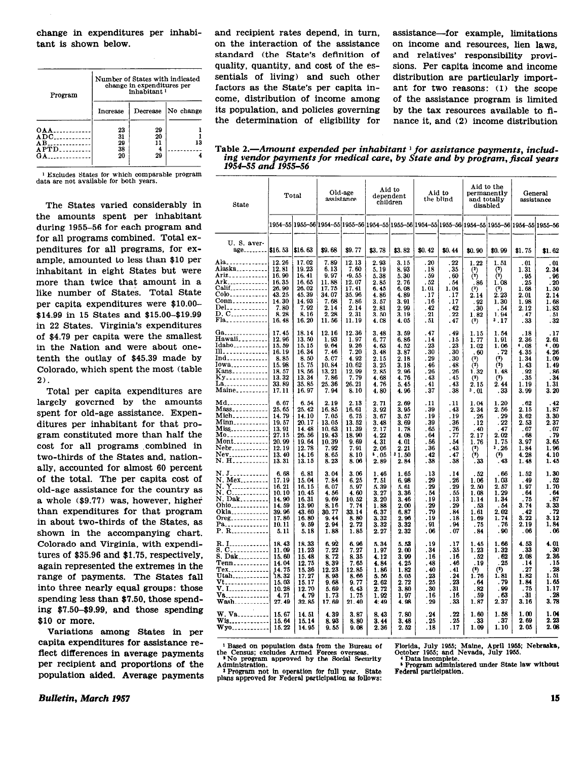change in expenditures per inhabitant is shown below.

| Program                      | Number of States with indicated<br>change in expenditures per<br>inhabitant <sup>1</sup> |    |                    |  |  |  |  |
|------------------------------|------------------------------------------------------------------------------------------|----|--------------------|--|--|--|--|
|                              | Increase                                                                                 |    | Decrease No change |  |  |  |  |
| <b>OAA</b>                   | $\frac{23}{31}$                                                                          | 29 |                    |  |  |  |  |
| $ADC$ <sub>-----------</sub> |                                                                                          | 20 |                    |  |  |  |  |
| AB                           | 29                                                                                       | 11 | 13                 |  |  |  |  |
| $APTD$                       | 38                                                                                       |    |                    |  |  |  |  |
| $\mathbf{G}$ A $\mathbf{A}$  | 20                                                                                       | 29 |                    |  |  |  |  |

1 Excludes States for which comparable program data are not available for both years.

The States varied considerably in the amounts spent per inhabitant during 1955-56 for each program and for all programs combined. Total expenditures for all programs, for example, amounted to less than \$10 per inhabitant in eight States but were more than twice that amount in a like number of States. Total State per capita expenditures were \$lO.OO- \$14.99 in 15 States and \$15.00-\$19.99 in 22 States. Virginia's expenditures of \$4.79 per capita were the smallest in the Nation and were about onetenth the outlay of \$45.39 made by Colorado, which spent the most (table 2).

Total per capita expenditures are largely governed by the amounts spent for old-age assistance. Expenditures per inhabitant for that program constituted more than half the cost for all programs combined in two-thirds of the States and, nationally, accounted for almost 60 percent of the total. The per capita cost of old-age assistance for the country as a whole (\$9.77) was, however, higher than expenditures for that program in about two-thirds of the States, as shown in the accompanying chart. Colorado and Virginia, with expenditures of \$35.96 and \$1.75, respectively, again represented the extremes in the range of payments. The States fall into three nearly equal groups: those spending less than \$7.50. those spending \$7.50-\$9.99, and those spending \$10 or more.

Variations among States in per capita expenditures for assistance reflect differences in average payments Per recipient and proportions of the Population aided. Average payments and recipient rates depend, in turn, assistance—for example, limitations on the interaction of the assistance on income and resources, lien laws, standard (the State's definition of and relatives' responsibility proviquality, quantity, and cost of the es- sions. Per capita income and income sentials of living) and such other distribution are particularly importfactors as the State's per capita in- ant for two reasons: (1) the scope come, distribution of income among of the assistance program is limited its population, and policies governing by the tax resources available to fithe determination of eligibility for nance it, and (2) income distribution

Table 2.—Amount expended per inhabitant  $\frac{1}{1}$  for assistance payments, including vendor payments for medical cure, by State and by program, fiscal years 1954–55 and 1955–56

| <b>State</b>                                                                                                               |                                                                                              | Total                                                                                           |                                                                                   | Old-age<br>assistance                                                                |                                                                                  | Aid to<br>dependent<br>children                                                |                                                                             | Aid to<br>the blind                                                        |                                                                                | Aid to the<br>permanently<br>and totally<br>disabled                          |                                                                             | General<br>assistance                                                             |  |
|----------------------------------------------------------------------------------------------------------------------------|----------------------------------------------------------------------------------------------|-------------------------------------------------------------------------------------------------|-----------------------------------------------------------------------------------|--------------------------------------------------------------------------------------|----------------------------------------------------------------------------------|--------------------------------------------------------------------------------|-----------------------------------------------------------------------------|----------------------------------------------------------------------------|--------------------------------------------------------------------------------|-------------------------------------------------------------------------------|-----------------------------------------------------------------------------|-----------------------------------------------------------------------------------|--|
|                                                                                                                            |                                                                                              | 1954–55 1955–56 1954–55 1955–56 1954–55 1955–56 1954–55 1955–56 1954–55 1955–56 1964–55 1955–56 |                                                                                   |                                                                                      |                                                                                  |                                                                                |                                                                             |                                                                            |                                                                                |                                                                               |                                                                             |                                                                                   |  |
| U.S. aver-<br>$age_{\dots}$ \$16.53                                                                                        |                                                                                              | \$16.63                                                                                         | \$9.68                                                                            | \$9.77                                                                               | \$3.78                                                                           | \$3.82                                                                         | \$0.42                                                                      | \$0.44                                                                     | \$0.90                                                                         | \$0.99                                                                        | \$1.75                                                                      | \$1.62                                                                            |  |
| Ala.<br>Alaska <sub>---------</sub><br>Ariz <sub>------------</sub><br>Conn<br>Del<br>D. C<br>Fla                          | 12.26<br>12.81<br>16.90<br>16.35<br>26.90<br>43.25<br>14.30<br>7.80<br>8.28<br>16.48         | 17.02<br>19.23<br>16.41<br>16.65<br>26.02<br>45.39<br>14.93<br>7.92<br>8.16<br>16.20            | 7.89<br>6.13<br>9.97<br>11.88<br>17.75<br>34.07<br>7.68<br>2.14<br>2.28<br>11.56  | 12.13<br>7.60<br>$-9.55$<br>12.07<br>17.41<br>35.96<br>7.86<br>2.14<br>2.31<br>11.19 | 2.93<br>5. 19<br>5.38<br>2.85<br>6.45<br>4.86<br>3. 57<br>2. 81<br>3.50<br>4. CS | 3.15<br>8.93<br>5.30<br>2.76<br>6.08<br>4.89<br>3. 91<br>2.99<br>3.19<br>4. 05 | .20<br>. 18<br>. 59<br>.52<br>1.01<br>.17<br>. 16<br>. 42<br>.21<br>. 51    | .22<br>.35<br>.60<br>. 54<br>1.04<br>.17<br>.17<br>. 42<br>.22<br>. 47     | 1.22<br>$\binom{2}{2}$<br>. 86<br>(2)<br>2.14<br>. 92<br>.30<br>1.82<br>(2)    | 1. 51<br>$\binom{2}{2}$<br>1.08<br>(2)<br>2.23<br>1.30<br>.54<br>1.94<br>3.17 | . 01<br>1.31<br>.95<br>. 25<br>1.68<br>2.01<br>1.98<br>2.12<br>.47<br>.33   | . 01<br>2.34<br>.96<br>. 20<br>1.50<br>2.14<br>1.68<br>1.83<br>.51<br>.32         |  |
| Ga<br>Hawaii<br>Idaho___________<br>Ill. 1<br>Ind<br>Iowa<br>Kans  18.57<br>Ky                                             | 17.45<br>12.96<br>15.59<br>16.19<br>8.85<br>15.98<br>13.32<br>33.89<br>17.11                 | 18.14<br>13.50<br>15.15<br>16.34<br>8.50<br>15.75<br>13.56<br>13.34<br>35.85<br>16.97           | 12.16<br>1.93<br>9.64<br>7.46<br>5. C7<br>10.84<br>13.21<br>7.86<br>25.36<br>7.94 | 12.36<br>1.97<br>9.26<br>7.20<br>4.92<br>10.62<br>12.99<br>7.79<br>26.21<br>8.10     | 3.48<br>6.77<br>4.63<br>3.48<br>2.15<br>3.25<br>2.85<br>4.68<br>4.76<br>4.80     | 3.59<br>6.86<br>4.52<br>3.87<br>2.18<br>3.18<br>2.96<br>4.76<br>5.45<br>4.96   | . 47<br>.14<br>- 23<br>.30<br>. 29<br>. 46<br>.26<br>. 43<br>. 41<br>. 37   | . 49<br>.15<br>.23<br>. 30<br>.30<br>. 48<br>.26<br>. 45<br>. 43<br>. 38   | 1.15<br>1.77<br>1.02<br>.60<br>(2)<br>$(2)$<br>1.32<br>(2)<br>2.15<br>3.01     | 1.54<br>1.91<br>1.06<br>. 72<br>(2)<br>(2)<br>1.48<br>(2)<br>2.44<br>. 33     | . 18<br>2.36<br>.08<br>4.35<br>1.34<br>1.43<br>. 92<br>. 35<br>1.19<br>3.99 | .17<br>2.61<br>1.09<br>4.26<br>1.09<br>1.49<br>.86<br>.34<br>1.31<br>3. 20        |  |
| Md <sub>*</sub> -------------<br>Mass<br>Mich___________<br>Minn <sub>----------</sub>  <br>Nebr <sub>-----</sub> -------- | 6.67<br>25.65<br>14.79<br>19.57<br>13.91<br>27.15<br>20.99<br>12.19<br>13.40<br>13.31        | 6.54<br>25.42<br>14.10<br>20.17<br>14.48<br>26.56<br>19.64<br>12.78<br>14.16<br>13.15           | 2.19<br>16.85<br>7.05<br>13.05<br>10.63<br>19.43<br>10.39<br>7.92<br>8.65<br>8.23 | 2.13<br>16.61<br>6.75<br>13.52<br>11.39<br>18.90<br>9.69<br>7.91<br>8.10<br>8.06     | 2.71<br>3.92<br>3.67<br>3.48<br>2.17<br>4.22<br>4.31<br>2.06<br>05. •<br>2.89    | 2.69<br>3.95<br>3.57<br>3.69<br>1.78<br>4.08<br>4.01<br>2.21<br>31.50<br>2.84  | . 11<br>. 39<br>. 19<br>. 39<br>. 65<br>. 64<br>.56<br>.36<br>.42<br>.38    | . 11<br>. 43<br>.19<br>. 36<br>.76<br>.77<br>. 54<br>.43<br>.47<br>.38     | 1.04<br>2.34<br>. 26<br>. 12<br>.40<br>2.17<br>1.76<br>(2)<br>$\hat{c}$<br>.33 | 1.20<br>2.56<br>.29<br>.22<br>.47<br>2.02<br>1.75<br>3.26<br>$(2)$<br>.43     | .62<br>2.15<br>3.62<br>2.53<br>.07<br>.68<br>3.97<br>1.84<br>4.28<br>1.48   | .42<br>1.87<br>3.30<br>2.37<br>. 07<br>. 79<br>3.65<br>1.96<br>4.10<br>1.45       |  |
| N. J <sub>-----------</sub><br>N. Mex<br>N. Dak <br>Ohio <sub>zzzzzzzzzzzz</sub><br>$0reg$<br>Pa. 1<br>P. R                | 6.68<br>17.19<br>16.21<br>10.10<br>14.90<br>14.59<br>39.96<br>17.86<br>10.11<br>5.11         | 6.81<br>15.04<br>16.15<br>10.45<br>16.31<br>13.90<br>43.60<br>16.80<br>9.59<br>5.18             | 3.04<br>7.84<br>6.07<br>4.56<br>9.69<br>8.16<br>30.77<br>9.44<br>2.94<br>1.88     | 3.06<br>6.25<br>5.97<br>4.60<br>10.52<br>7.74<br>33.14<br>8.80<br>2.72<br>1.85       | 1.46<br>7.51<br>5.39<br>3.27<br>3.20<br>1.88<br>6.37<br>3.32<br>3.32<br>2.27     | 1.65<br>6.98<br>5. 61<br>3.36<br>3.46<br>2.00<br>6.87<br>2.96<br>3.32<br>2.32  | . 13<br>.29<br>. 29<br>. 54<br>. 19<br>. 29<br>.79<br>.19<br>. 91<br>.06    | .14<br>.26<br>.29<br>. 55<br>. 13<br>. 29<br>.84<br>. 18<br>. 94<br>.07    | . 52<br>1.06<br>2.50<br>1.08<br>1.14<br>.53<br>1.61<br>1.69<br>.75<br>. 84     | . 66<br>1.03<br>2.57<br>1.29<br>1.34<br>. 54<br>2.02<br>1.74<br>. 76<br>.90   | 1.52<br>.49<br>1.97<br>. 64<br>. 75<br>3.74<br>. 42<br>3.22<br>2.19<br>. 06 | 1.30<br>.52<br>1.70<br>.64<br>.87<br>3.33<br>. 72<br>3. 12<br>1.84<br>.06         |  |
| 8. C.<br>8. Dak<br>Tenn<br>$Tex$<br>Utah<br>$Wash$                                                                         | 18.43<br>11.09<br>15.60<br>14.04<br>$\frac{14.75}{18.32}$<br>15.03<br>10.28<br>4.71<br>27.49 | 18.33<br>11.23<br>15.48<br>12.75<br>15.36<br>17.27<br>15.17<br>12.70<br>4.79<br>32.85           | 6.92<br>7.22<br>8.72<br>8.39<br>12.23<br>8.93<br>9.68<br>5.69<br>1.73<br>17.69    | 6.96<br>7.27<br>8.35<br>7.65<br>12.85<br>8.66<br>9.77<br>6.43<br>1.75<br>21.40       | 5.34<br>1.97<br>4.12<br>4.84<br>1.86<br>5.56<br>2.62<br>2.72<br>1.92<br>4:49     | 5.53<br>2.00<br>3.99<br>4.25<br>1.82<br>5.05<br>2.72<br>3.80<br>1.97<br>4.98   | . 19<br>. 34<br>. 16<br>. 48<br>. 40<br>. 23<br>. 25<br>.30<br>. 16<br>. 29 | . 17<br>. 35<br>. 16<br>. 46<br>. 41<br>.24<br>. 23<br>.31<br>. 16<br>. 33 | 1.45<br>1.23<br>.52<br>.19<br>$(2)$<br>1.76<br>.64<br>.82<br>.59<br>1.87       | 1.66<br>1 32<br>. 62<br>.25<br>(2)<br>1.81<br>. 79<br>.99<br>.63<br>2.37      | 4.53<br>. 33<br>2.08<br>.14<br>.27<br>1.82<br>1.84<br>.75<br>.31<br>3.16    | 4.01<br>. 30<br>2.36<br>. 15<br>. 28<br>1.51<br>1.65<br>1.17<br>$3.\overline{78}$ |  |
| W. Va.<br><b>Wis.</b><br>Wyo  15.22                                                                                        | 15.67<br>15.64                                                                               | 14. 51<br>15.14<br>14.95                                                                        | 4.39<br>8.93<br>9.55                                                              | 3.87<br>8.80<br>9.08                                                                 | 8.43<br>3.44<br>2.36                                                             | 7.80<br>3.48<br>2.52                                                           | . 24<br>.25<br>. 18                                                         | . 22<br>.25<br>. 17                                                        | 1.60<br>. 33<br>1.09                                                           | 1.58<br>.37<br>1.10                                                           | 1.00<br>2.69<br>2.05                                                        | 1.04<br>2.23<br>2.08                                                              |  |

the Census; excludes Armed Forces overseas. October 1955; and Nevada, Nevada, July 1955.

<sup>3</sup> Program not in operation for full year. State Federal participation. plans approved for Federal participation as follows:

<sup>1</sup> Based on population data from the Bureau of Florida, July 1955; Maine, April 1955; Nebraska, excludes Armed Forces overseas. October 1955; and Nevada, July 1955.

\*No program approved by the Social Security \*\*\* Data incomplete.<br>Administration. 6 Program administered under State law without

Builletin, March 1957 15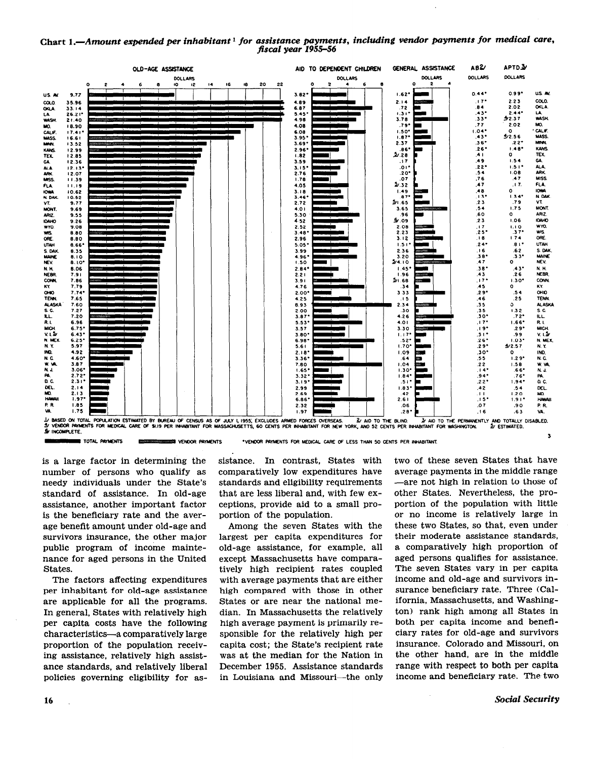#### Chart 1.- Amount expended per inhabitant<sup>1</sup> for assistance payments, including vendor payments for medical care, fiscal year 1955-56



is a large factor in determining the number of persons who qualify as needy individuals under the State's standard of assistance. In old-age assistance, another important factor is the beneficiary rate and the average benefit amount under old-age and survivors insurance, the other major public program of income maintenance for aged persons in the United States.

The factors affecting expenditures per inhabitant for old-age assistance are applicable for all the programs. In general, States with relatively high per capita costs have the following characteristics-a comparatively large proportion of the population receiving assistance, relatively high assistance standards, and relatively liberal policies governing eligibility for assistance. In contrast, States with comparatively low expenditures have standards and eligibility requirements that are less liberal and, with few exceptions, provide aid to a small proportion of the population.

Among the seven States with the largest per capita expenditures for old-age assistance, for example, all except Massachusetts have comparatively high recipient rates coupled with average payments that are either high compared with those in other States or are near the national median. In Massachusetts the relatively high average payment is primarily responsible for the relatively high per capita cost; the State's recipient rate was at the median for the Nation in December 1955. Assistance standards in Louisiana and Missouri-the only

two of these seven States that have average payments in the middle range -are not high in relation to those of other States. Nevertheless, the proportion of the population with little or no income is relatively large in these two States, so that, even under their moderate assistance standards, a comparatively high proportion of aged persons qualifies for assistance. The seven States vary in per capita income and old-age and survivors insurance beneficiary rate. Three (California, Massachusetts, and Washington) rank high among all States in both per capita income and beneflciary rates for old-age and survivors insurance. Colorado and Missouri, on the other hand, are in the middle range with respect to both per capita income and beneficiary rate. The two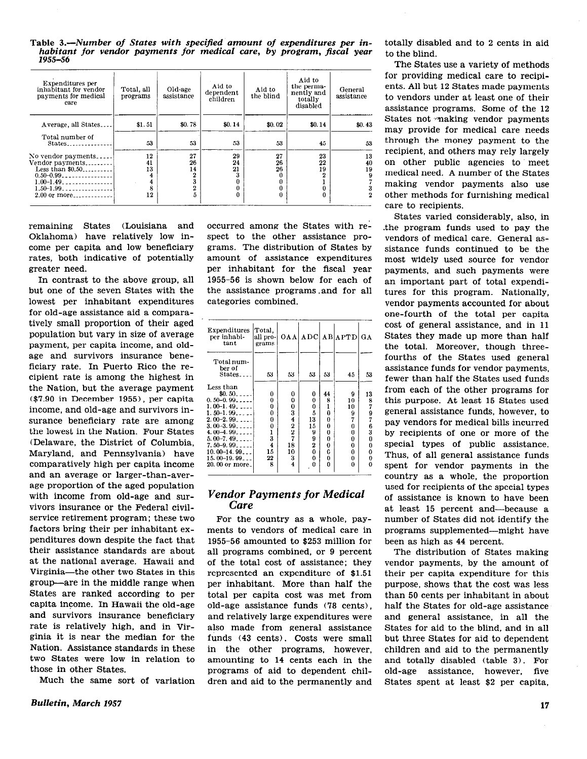Table I.-Number of States with specified amount of expenditures per inhabitant for vendor payments for medical care, by program, fiscal year 195556

| Expenditures per<br>inhabitant for vendor<br>payments for medical<br>care | Total, all<br>programs | Old-age<br>assistance   | Aid to<br>dependent<br>children | Aid to<br>the blind | Aid to<br>the perma-<br>nently and<br>totally<br>disabled | General<br>assistance        |
|---------------------------------------------------------------------------|------------------------|-------------------------|---------------------------------|---------------------|-----------------------------------------------------------|------------------------------|
| Average, all States                                                       | \$1.51                 | \$0.78                  | \$0.14                          | \$0.02\$            | \$0.14                                                    | \$0.43                       |
| Total number of<br>States                                                 | 53                     | 53                      | 53                              | 53                  | 45                                                        | 53                           |
| No vendor payments                                                        | 12                     | 27                      | 29                              | 27                  | 23                                                        | 13                           |
| Vendor payments<br>Less than $$0.50$<br>$0.50 - 0.99$                     | 41<br>13               | 26<br>14<br>$\mathbf 2$ | 24<br>21                        | 26<br>26            | 22<br>19<br>2                                             | 40<br>19<br>$\boldsymbol{9}$ |
| $1.00 - 1.49$<br>$1.50 - 1.99$                                            | 4<br>4<br>8            | 3                       |                                 |                     | 0                                                         | 3                            |
| $2.00$ or more                                                            | 12                     | $\frac{2}{5}$           |                                 | n                   | 0                                                         | $\mathbf 2$                  |

remaining States (Louisiana and Oklahoma) have relatively low income per capita and low beneficiary rates, both indicative of potentially greater need.

In contrast to the above group, all but one of the seven States with the lowest per inhabitant expenditures for old-age assistance aid a comparatively small proportion of their aged population but vary in size of average payment, per capita income, and oldage and survivors insurance beneficiary rate. In Puerto Rico the recipient rate is among the highest in the Nation, but the average payment (\$7.90 in December 1955), per capita income, and old-age and survivors insurance beneficiary rate are among the lowest in the Nation. Four States (Delaware, the District of Columbia, Maryland, and Pennsylvania) have comparatively high per capita income and an average or larger-than-average proportion of the aged population with income from old-age and survivors insurance or the Federal civilservice retirement program; these two factors bring their per inhabitant expenditures down despite the fact that their assistance standards are about at the national average. Hawaii and Virginia-the other two States in this group-are in the middle range when States are ranked according to per capita income. In Hawaii the old-age and survivors insurance beneficiary rate is relatively high, and in Virginia it is near the median for the Nation. Assistance standards in these two States were low in relation to those in other States.

Much the same sort of variation

occurred among the States with respect to the other assistance programs. The distribution of States by amount of assistance expenditures per inhabitant for the fiscal year 1955-56 is shown below for each of the assistance programs ,and for all categories combined.

| Expenditures<br>per inhabi-<br>tant | Total.<br>all pro- <br>grams |                     | OAA ADC  |          | <b>AB</b> APTD | GА       |
|-------------------------------------|------------------------------|---------------------|----------|----------|----------------|----------|
|                                     |                              |                     |          |          |                |          |
| Total num-                          |                              |                     |          |          |                |          |
| ber of                              |                              |                     |          |          |                |          |
| States                              | 53                           | 53                  | 53       | 53       | 45             | 53       |
|                                     |                              |                     |          |          |                |          |
| Less than                           |                              |                     |          |          |                |          |
| $$0.50$                             | 0                            | 0                   | 0        | 44       | 9              | 13       |
| $0.50 - 0.99$                       | 0                            | 0                   | $\bf{0}$ | 8        | 10             |          |
| $1.00-1.49$                         | 0                            | 0                   | 0        | ı        | 10             |          |
| $1, 50 - 1, 99$                     | 0                            |                     | 5        | 0        | 9              |          |
| $2.00-2.99$                         | 0                            |                     | 13       | 0        | 7              |          |
| $3.00-3.99$                         | 0                            |                     | 15       | 0        | 0              | 879763   |
| 4.00-4.99                           |                              |                     | 9        | 0        | 0              |          |
| $5.00 - 7.49$                       | $\frac{1}{3}$                | 34227               | 9        | 0        | 0              | $\bf{0}$ |
| $7.50 - 9.99$                       | 4                            | 18                  | 2        | 0        | 0              | 0        |
| $10.00 - 14.99$                     | 15                           | 10                  | $\bf{0}$ | 0        | 0              | 0        |
| $15.00 - 19.99$                     | 22                           | 3                   | 0        | $\bf{0}$ | 0              | 0        |
| 20,00 or more.                      | 8                            | $\overline{\bf{4}}$ | 0        | O        | 0              | 0        |

#### Vendor Payments for Medical Care

For the country as a whole, payments to vendors of medical care in 1955-56 amounted to \$253 million for all programs combined, or 9 percent of the total cost of assistance; they represented an expenditure of \$1.51 per inhabitant. More than half the total per capita cost was met from old-age assistance funds ('78 cents), and relatively large expenditures were also made from general assistance funds (43 cents). Costs were small in the other programs, however, amounting to 14 cents each in the programs of aid to dependent children and aid to the permanently and totally disabled and to 2 cents in aid to the blind.

The States use a variety of methods for providing medical care to recipients. All but 12 States made payments to vendors under at least one of their assistance programs. Some of the 12 States not making vendor payments may provide for medical care needs through the money payment to the recipient, and others may rely largely on other public agencies to meet medical need. A number of the States making vendor payments also use other methods for furnishing medical care to recipients.

States varied considerably, also, in .the program funds used to pay the vendors of medical care. General assistance funds continued to be the most widely used source for vendor payments, and such payments were an important part of total expenditures for this program. Nationally, vendor payments accounted for about one-fourth of the total per capita cost of general assistance, and in 11 States they made up more than half the total. Moreover, though threefourths of the States used general assistance funds for vendor payments, fewer than half the States used funds from each of the other programs for this purpose. At least 15 States used general assistance funds, however, to pay vendors for medical bills incurred by recipients of one or more of the special types of public assistance. Thus, of all general assistance funds spent for vendor payments in the country as a whole, the proportion used for recipients of the special types of assistance is known to have been at least 15 percent and-because a number of States did not identify the programs supplemented-might have been as high as 44 percent.

The distribution of States making vendor payments, by the amount of their per capita expenditure for this purpose, shows that the cost was less than 50 cents per inhabitant in about half the States for old-age assistance and general assistance, in all the States for aid to the blind, and in all but three States for aid to dependent children and aid to the permanently and totally disabled (table 3). For old-age assistance, however, five States spent at least \$2 per capita,